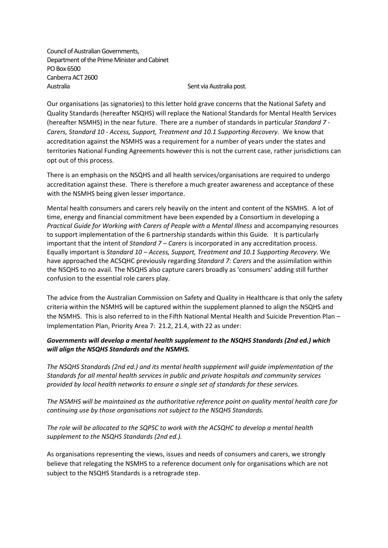Council of Australian Governments, Department of the Prime Minister and Cabinet PO Box 6500 Canberra ACT 2600 Australia **Network and Sent via Australia post.** 

Our organisations (as signatories) to this letter hold grave concerns that the National Safety and Quality Standards (hereafter NSQHS) will replace the National Standards for Mental Health Services (hereafter NSMHS) in the near future. There are a number of standards in particular *Standard 7 - Carers, Standard 10 - Access, Support, Treatment and 10.1 Supporting Recovery*. We know that accreditation against the NSMHS was a requirement for a number of years under the states and territories National Funding Agreements however this is not the current case, rather jurisdictions can opt out of this process.

There is an emphasis on the NSQHS and all health services/organisations are required to undergo accreditation against these. There is therefore a much greater awareness and acceptance of these with the NSMHS being given lesser importance.

Mental health consumers and carers rely heavily on the intent and content of the NSMHS. A lot of time, energy and financial commitment have been expended by a Consortium in developing a *Practical Guide for Working with Carers of People with a Mental Illness* and accompanying resources to support implementation of the 6 partnership standards within this Guide*.* It is particularly important that the intent of *Standard 7 – Carers* is incorporated in any accreditation process. Equally important is *Standard 10 – Access, Support, Treatment and 10.1 Supporting Recovery*. We have approached the ACSQHC previously regarding *Standard 7: Carers* and the assimilation within the NSQHS to no avail. The NSQHS also capture carers broadly as 'consumers' adding still further confusion to the essential role carers play.

The advice from the Australian Commission on Safety and Quality in Healthcare is that only the safety criteria within the NSMHS will be captured within the supplement planned to align the NSQHS and the NSMHS. This is also referred to in the Fifth National Mental Health and Suicide Prevention Plan – Implementation Plan, Priority Area 7: 21.2, 21.4, with 22 as under:

## *Governments will develop a mental health supplement to the NSQHS Standards (2nd ed.) which will align the NSQHS Standards and the NSMHS.*

*The NSQHS Standards (2nd ed.) and its mental health supplement will guide implementation of the Standards for all mental health services in public and private hospitals and community services provided by local health networks to ensure a single set of standards for these services.* 

*The NSMHS will be maintained as the authoritative reference point on quality mental health care for continuing use by those organisations not subject to the NSQHS Standards.*

*The role will be allocated to the SQPSC to work with the ACSQHC to develop a mental health supplement to the NSQHS Standards (2nd ed.).* 

As organisations representing the views, issues and needs of consumers and carers, we strongly believe that relegating the NSMHS to a reference document only for organisations which are not subject to the NSQHS Standards is a retrograde step.